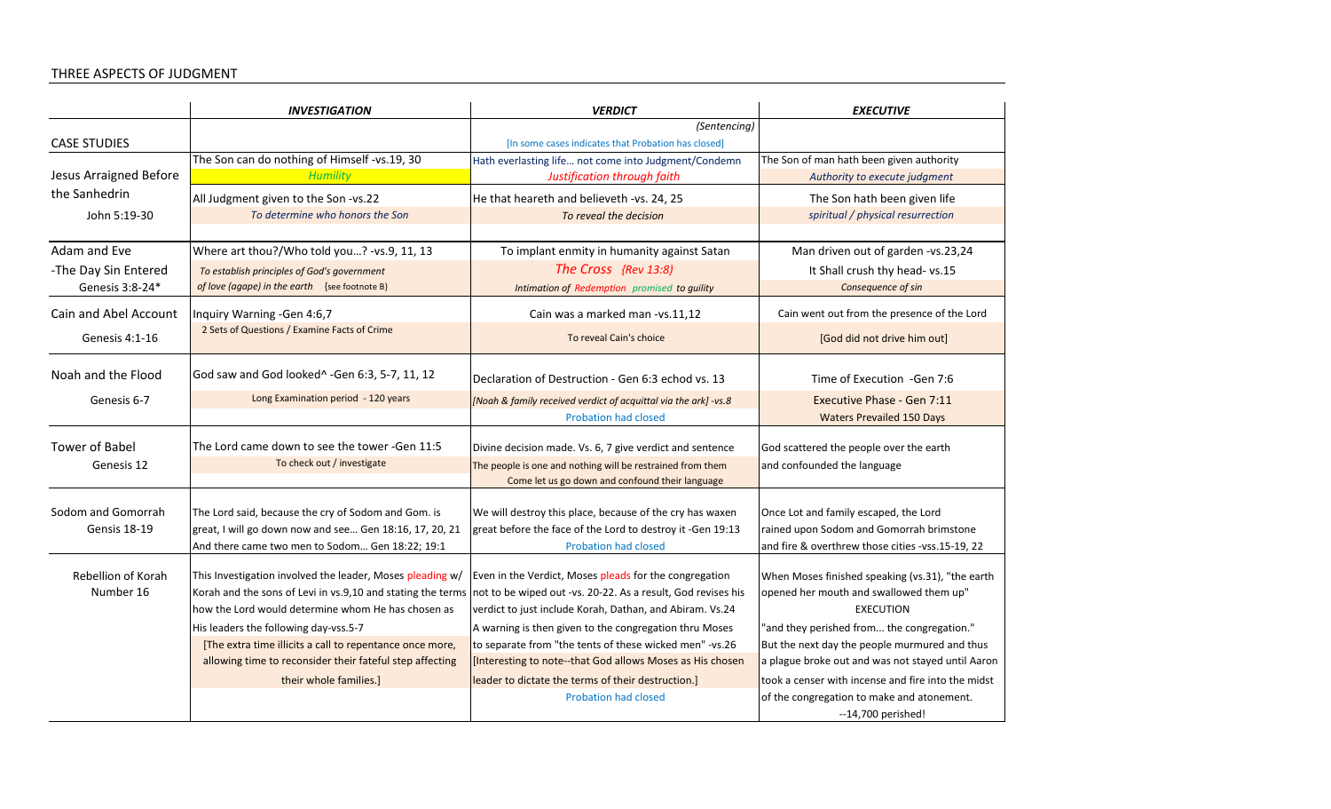## THREE ASPECTS OF JUDGMENT

|                                           | <b>INVESTIGATION</b>                                                                                                                                                                                                                                                                                                                                                      | <b>VERDICT</b>                                                                                                                                                                                                                                                                                                                                                                                                                                            | <b>EXECUTIVE</b>                                                                                                                                                                                                                                                                                                                                                        |
|-------------------------------------------|---------------------------------------------------------------------------------------------------------------------------------------------------------------------------------------------------------------------------------------------------------------------------------------------------------------------------------------------------------------------------|-----------------------------------------------------------------------------------------------------------------------------------------------------------------------------------------------------------------------------------------------------------------------------------------------------------------------------------------------------------------------------------------------------------------------------------------------------------|-------------------------------------------------------------------------------------------------------------------------------------------------------------------------------------------------------------------------------------------------------------------------------------------------------------------------------------------------------------------------|
|                                           |                                                                                                                                                                                                                                                                                                                                                                           | (Sentencing)                                                                                                                                                                                                                                                                                                                                                                                                                                              |                                                                                                                                                                                                                                                                                                                                                                         |
| <b>CASE STUDIES</b>                       |                                                                                                                                                                                                                                                                                                                                                                           | [In some cases indicates that Probation has closed]                                                                                                                                                                                                                                                                                                                                                                                                       |                                                                                                                                                                                                                                                                                                                                                                         |
|                                           | The Son can do nothing of Himself -vs.19, 30                                                                                                                                                                                                                                                                                                                              | Hath everlasting life not come into Judgment/Condemn                                                                                                                                                                                                                                                                                                                                                                                                      | The Son of man hath been given authority                                                                                                                                                                                                                                                                                                                                |
| Jesus Arraigned Before                    | <b>Humility</b>                                                                                                                                                                                                                                                                                                                                                           | Justification through faith                                                                                                                                                                                                                                                                                                                                                                                                                               | Authority to execute judgment                                                                                                                                                                                                                                                                                                                                           |
| the Sanhedrin                             | All Judgment given to the Son -vs.22                                                                                                                                                                                                                                                                                                                                      | He that heareth and believeth -vs. 24, 25                                                                                                                                                                                                                                                                                                                                                                                                                 | The Son hath been given life                                                                                                                                                                                                                                                                                                                                            |
| John 5:19-30                              | To determine who honors the Son                                                                                                                                                                                                                                                                                                                                           | To reveal the decision                                                                                                                                                                                                                                                                                                                                                                                                                                    | spiritual / physical resurrection                                                                                                                                                                                                                                                                                                                                       |
|                                           |                                                                                                                                                                                                                                                                                                                                                                           |                                                                                                                                                                                                                                                                                                                                                                                                                                                           |                                                                                                                                                                                                                                                                                                                                                                         |
| Adam and Eve                              | Where art thou?/Who told you? -vs.9, 11, 13                                                                                                                                                                                                                                                                                                                               | To implant enmity in humanity against Satan                                                                                                                                                                                                                                                                                                                                                                                                               | Man driven out of garden -vs.23,24                                                                                                                                                                                                                                                                                                                                      |
| -The Day Sin Entered                      | To establish principles of God's government                                                                                                                                                                                                                                                                                                                               | The Cross {Rev 13:8)                                                                                                                                                                                                                                                                                                                                                                                                                                      | It Shall crush thy head- vs.15                                                                                                                                                                                                                                                                                                                                          |
| Genesis 3:8-24*                           | of love (agape) in the earth {see footnote B}                                                                                                                                                                                                                                                                                                                             | Intimation of Redemption promised to guility                                                                                                                                                                                                                                                                                                                                                                                                              | Consequence of sin                                                                                                                                                                                                                                                                                                                                                      |
| Cain and Abel Account                     | Inquiry Warning - Gen 4:6,7                                                                                                                                                                                                                                                                                                                                               | Cain was a marked man -vs.11,12                                                                                                                                                                                                                                                                                                                                                                                                                           | Cain went out from the presence of the Lord                                                                                                                                                                                                                                                                                                                             |
| Genesis 4:1-16                            | 2 Sets of Questions / Examine Facts of Crime                                                                                                                                                                                                                                                                                                                              | To reveal Cain's choice                                                                                                                                                                                                                                                                                                                                                                                                                                   | [God did not drive him out]                                                                                                                                                                                                                                                                                                                                             |
| Noah and the Flood                        | God saw and God looked^ -Gen 6:3, 5-7, 11, 12                                                                                                                                                                                                                                                                                                                             | Declaration of Destruction - Gen 6:3 echod vs. 13                                                                                                                                                                                                                                                                                                                                                                                                         | Time of Execution - Gen 7:6                                                                                                                                                                                                                                                                                                                                             |
| Genesis 6-7                               | Long Examination period - 120 years                                                                                                                                                                                                                                                                                                                                       | [Noah & family received verdict of acquittal via the ark] -vs.8                                                                                                                                                                                                                                                                                                                                                                                           | Executive Phase - Gen 7:11                                                                                                                                                                                                                                                                                                                                              |
|                                           |                                                                                                                                                                                                                                                                                                                                                                           | <b>Probation had closed</b>                                                                                                                                                                                                                                                                                                                                                                                                                               | <b>Waters Prevailed 150 Days</b>                                                                                                                                                                                                                                                                                                                                        |
| <b>Tower of Babel</b>                     | The Lord came down to see the tower -Gen 11:5                                                                                                                                                                                                                                                                                                                             | Divine decision made. Vs. 6, 7 give verdict and sentence                                                                                                                                                                                                                                                                                                                                                                                                  | God scattered the people over the earth                                                                                                                                                                                                                                                                                                                                 |
| Genesis 12                                | To check out / investigate                                                                                                                                                                                                                                                                                                                                                | The people is one and nothing will be restrained from them<br>Come let us go down and confound their language                                                                                                                                                                                                                                                                                                                                             | and confounded the language                                                                                                                                                                                                                                                                                                                                             |
| Sodom and Gomorrah<br><b>Gensis 18-19</b> | The Lord said, because the cry of Sodom and Gom. is<br>great, I will go down now and see Gen 18:16, 17, 20, 21<br>And there came two men to Sodom Gen 18:22; 19:1                                                                                                                                                                                                         | We will destroy this place, because of the cry has waxen<br>great before the face of the Lord to destroy it -Gen 19:13<br><b>Probation had closed</b>                                                                                                                                                                                                                                                                                                     | Once Lot and family escaped, the Lord<br>rained upon Sodom and Gomorrah brimstone<br>and fire & overthrew those cities -vss.15-19, 22                                                                                                                                                                                                                                   |
| Rebellion of Korah<br>Number 16           | This Investigation involved the leader, Moses pleading w/<br>Korah and the sons of Levi in vs.9,10 and stating the terms<br>how the Lord would determine whom He has chosen as<br>His leaders the following day-vss.5-7<br>[The extra time illicits a call to repentance once more,<br>allowing time to reconsider their fateful step affecting<br>their whole families.] | Even in the Verdict, Moses pleads for the congregation<br>not to be wiped out -vs. 20-22. As a result, God revises his<br>verdict to just include Korah, Dathan, and Abiram. Vs.24<br>A warning is then given to the congregation thru Moses<br>to separate from "the tents of these wicked men" -vs.26<br>[Interesting to note--that God allows Moses as His chosen<br>leader to dictate the terms of their destruction.]<br><b>Probation had closed</b> | When Moses finished speaking (vs.31), "the earth<br>opened her mouth and swallowed them up"<br><b>EXECUTION</b><br>"and they perished from the congregation."<br>But the next day the people murmured and thus<br>a plague broke out and was not stayed until Aaron<br>took a censer with incense and fire into the midst<br>of the congregation to make and atonement. |